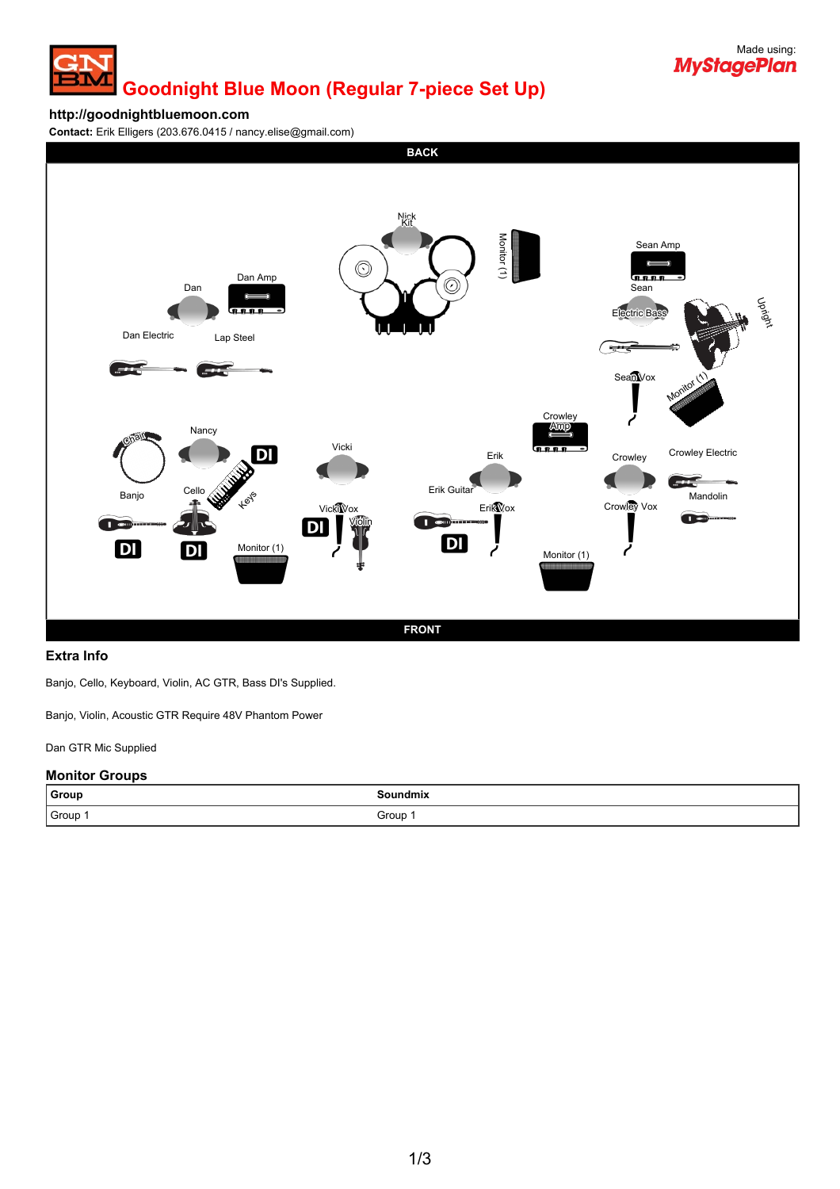

# **Goodnight Blue Moon (Regular 7-piece Set Up)**

### **http://goodnightbluemoon.com**

**Contact:** Erik Elligers (203.676.0415 / nancy.elise@gmail.com)



### **Extra Info**

Banjo, Cello, Keyboard, Violin, AC GTR, Bass DI's Supplied.

Banjo, Violin, Acoustic GTR Require 48V Phantom Power

#### Dan GTR Mic Supplied

#### **Monitor Groups**

| Group   | ioundmix |
|---------|----------|
| Group ' |          |
|         | Group    |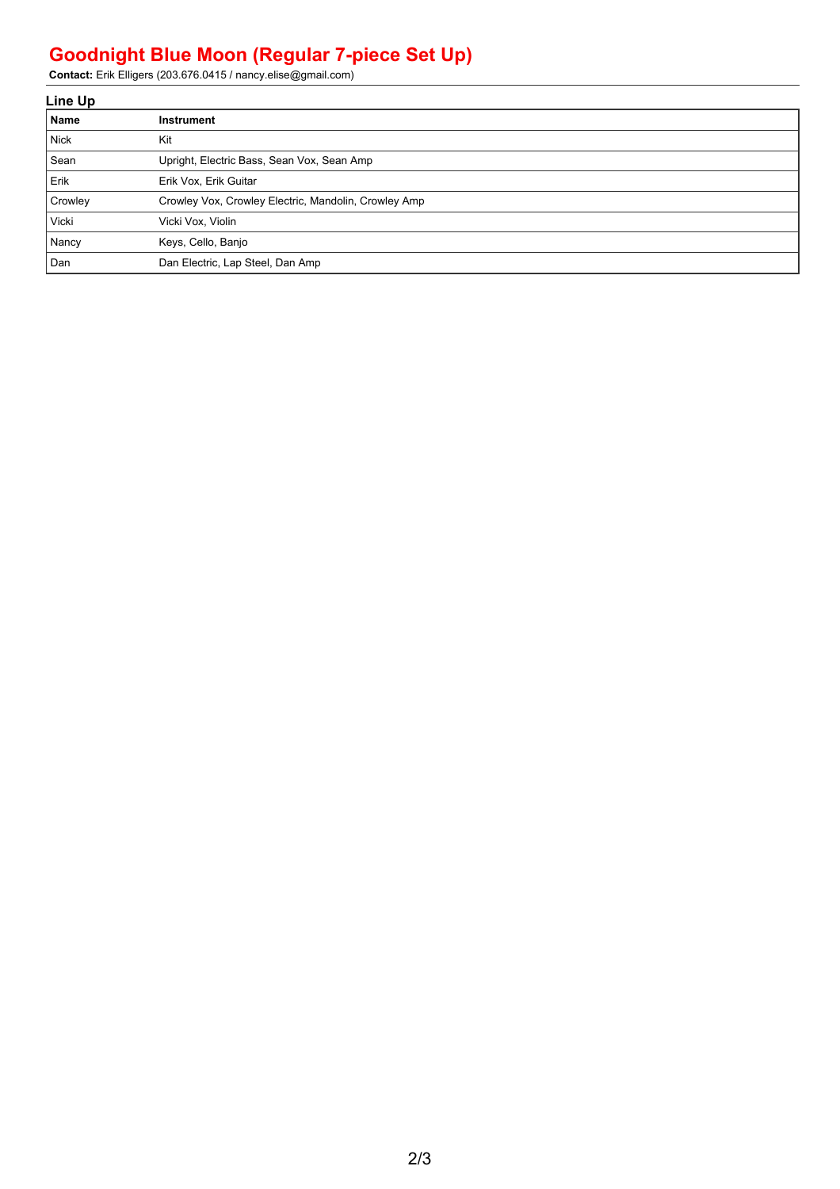## **Goodnight Blue Moon (Regular 7-piece Set Up)**

**Contact:** Erik Elligers (203.676.0415 / nancy.elise@gmail.com)

| Line Up |                                                      |  |  |  |
|---------|------------------------------------------------------|--|--|--|
| Name    | <b>Instrument</b>                                    |  |  |  |
| l Nick  | Kit                                                  |  |  |  |
| Sean    | Upright, Electric Bass, Sean Vox, Sean Amp           |  |  |  |
| Erik    | Erik Vox, Erik Guitar                                |  |  |  |
| Crowley | Crowley Vox, Crowley Electric, Mandolin, Crowley Amp |  |  |  |
| Vicki   | Vicki Vox, Violin                                    |  |  |  |
| Nancy   | Keys, Cello, Banjo                                   |  |  |  |
| Dan     | Dan Electric, Lap Steel, Dan Amp                     |  |  |  |